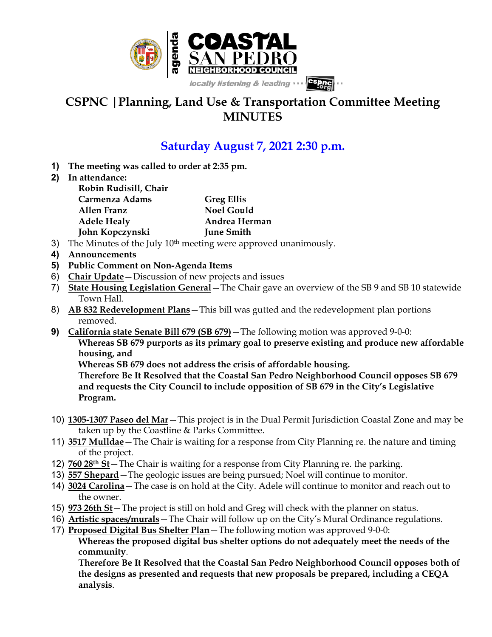

## **CSPNC |Planning, Land Use & Transportation Committee Meeting MINUTES**

## **Saturday August 7, 2021 2:30 p.m.**

- **1) The meeting was called to order at 2:35 pm.**
- **2) In attendance:**

**Robin Rudisill, Chair Carmenza Adams Greg Ellis Allen Franz Noel Gould Adele Healy Andrea Herman**

**John Kopczynski June Smith**

- 3) The Minutes of the July  $10<sup>th</sup>$  meeting were approved unanimously.
- **4) Announcements**
- **5) Public Comment on Non-Agenda Items**
- 6) **Chair Update**—Discussion of new projects and issues
- 7) **State Housing Legislation General**—The Chair gave an overview of the SB 9 and SB 10 statewide Town Hall.
- 8) **AB 832 Redevelopment Plans**—This bill was gutted and the redevelopment plan portions removed.
- **9) California state Senate Bill 679 (SB 679)**—The following motion was approved 9-0-0: **Whereas SB 679 purports as its primary goal to preserve existing and produce new affordable housing, and**

**Whereas SB 679 does not address the crisis of affordable housing.**

**Therefore Be It Resolved that the Coastal San Pedro Neighborhood Council opposes SB 679 and requests the City Council to include opposition of SB 679 in the City's Legislative Program.**

- 10) **1305-1307 Paseo del Mar**—This project is in the Dual Permit Jurisdiction Coastal Zone and may be taken up by the Coastline & Parks Committee.
- 11) **3517 Mulldae**—The Chair is waiting for a response from City Planning re. the nature and timing of the project.
- 12) **760 28th St**—The Chair is waiting for a response from City Planning re. the parking.
- 13) **557 Shepard**—The geologic issues are being pursued; Noel will continue to monitor.
- 14) **3024 Carolina**—The case is on hold at the City. Adele will continue to monitor and reach out to the owner.
- 15) **973 26th St**—The project is still on hold and Greg will check with the planner on status.
- 16) **Artistic spaces/murals**—The Chair will follow up on the City's Mural Ordinance regulations.
- 17) **Proposed Digital Bus Shelter Plan**—The following motion was approved 9-0-0:

**Whereas the proposed digital bus shelter options do not adequately meet the needs of the community**.

**Therefore Be It Resolved that the Coastal San Pedro Neighborhood Council opposes both of the designs as presented and requests that new proposals be prepared, including a CEQA analysis**.